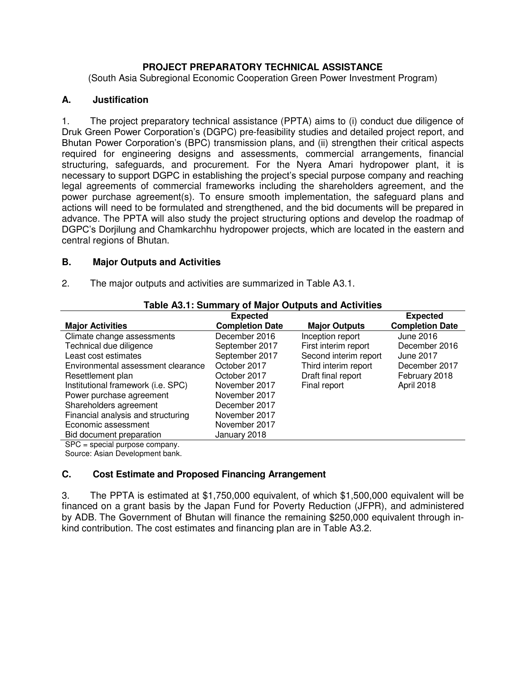# **PROJECT PREPARATORY TECHNICAL ASSISTANCE**

(South Asia Subregional Economic Cooperation Green Power Investment Program)

# **A. Justification**

1. The project preparatory technical assistance (PPTA) aims to (i) conduct due diligence of Druk Green Power Corporation's (DGPC) pre-feasibility studies and detailed project report, and Bhutan Power Corporation's (BPC) transmission plans, and (ii) strengthen their critical aspects required for engineering designs and assessments, commercial arrangements, financial structuring, safeguards, and procurement. For the Nyera Amari hydropower plant, it is necessary to support DGPC in establishing the project's special purpose company and reaching legal agreements of commercial frameworks including the shareholders agreement, and the power purchase agreement(s). To ensure smooth implementation, the safeguard plans and actions will need to be formulated and strengthened, and the bid documents will be prepared in advance. The PPTA will also study the project structuring options and develop the roadmap of DGPC's Dorjilung and Chamkarchhu hydropower projects, which are located in the eastern and central regions of Bhutan.

# **B. Major Outputs and Activities**

| 2. | The major outputs and activities are summarized in Table A3.1. |  |
|----|----------------------------------------------------------------|--|
|----|----------------------------------------------------------------|--|

| Table A3.1: Summary of Major Outputs and Activities |                        |                       |                        |  |
|-----------------------------------------------------|------------------------|-----------------------|------------------------|--|
|                                                     | <b>Expected</b>        |                       | <b>Expected</b>        |  |
| <b>Major Activities</b>                             | <b>Completion Date</b> | <b>Major Outputs</b>  | <b>Completion Date</b> |  |
| Climate change assessments                          | December 2016          | Inception report      | June 2016              |  |
| Technical due diligence                             | September 2017         | First interim report  | December 2016          |  |
| Least cost estimates                                | September 2017         | Second interim report | <b>June 2017</b>       |  |
| Environmental assessment clearance                  | October 2017           | Third interim report  | December 2017          |  |
| Resettlement plan                                   | October 2017           | Draft final report    | February 2018          |  |
| Institutional framework (i.e. SPC)                  | November 2017          | Final report          | April 2018             |  |
| Power purchase agreement                            | November 2017          |                       |                        |  |
| Shareholders agreement                              | December 2017          |                       |                        |  |
| Financial analysis and structuring                  | November 2017          |                       |                        |  |
| Economic assessment                                 | November 2017          |                       |                        |  |
| Bid document preparation                            | January 2018           |                       |                        |  |
| $SPC - \frac{1}{2}$ energial nurnose company        |                        |                       |                        |  |

# **Table A3.1: Summary of Major Outputs and Activities**

SPC = special purpose company.

Source: Asian Development bank.

# **C. Cost Estimate and Proposed Financing Arrangement**

3. The PPTA is estimated at \$1,750,000 equivalent, of which \$1,500,000 equivalent will be financed on a grant basis by the Japan Fund for Poverty Reduction (JFPR), and administered by ADB. The Government of Bhutan will finance the remaining \$250,000 equivalent through inkind contribution. The cost estimates and financing plan are in Table A3.2.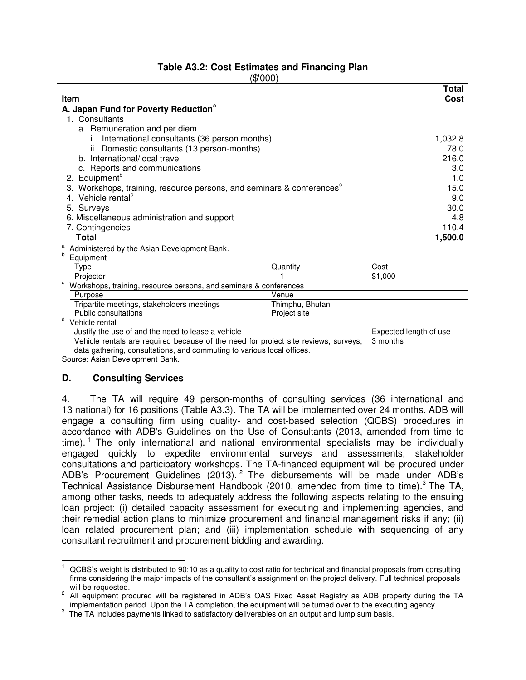# **Table A3.2: Cost Estimates and Financing Plan**

(\$'000)

| <b>Item</b>                                                                         |                 | <b>Total</b><br>Cost   |
|-------------------------------------------------------------------------------------|-----------------|------------------------|
| A. Japan Fund for Poverty Reduction <sup>a</sup>                                    |                 |                        |
| 1. Consultants                                                                      |                 |                        |
| a. Remuneration and per diem                                                        |                 |                        |
| International consultants (36 person months)<br>i.                                  |                 | 1,032.8                |
| ii. Domestic consultants (13 person-months)                                         |                 | 78.0                   |
| b. International/local travel                                                       |                 | 216.0                  |
| c. Reports and communications                                                       |                 | 3.0                    |
| 2. Equipment <sup>b</sup>                                                           |                 | 1.0                    |
| Workshops, training, resource persons, and seminars & conferences <sup>c</sup>      |                 | 15.0                   |
| Vehicle rental <sup>d</sup><br>4                                                    |                 | 9.0                    |
| 5. Surveys                                                                          |                 | 30.0                   |
| 6. Miscellaneous administration and support                                         |                 | 4.8                    |
| 7. Contingencies                                                                    |                 | 110.4                  |
| <b>Total</b>                                                                        |                 | 1,500.0                |
| Administered by the Asian Development Bank.                                         |                 |                        |
| b<br>Equipment                                                                      |                 |                        |
| Type                                                                                | Quantity        | Cost                   |
| Projector                                                                           |                 | \$1,000                |
| c<br>Workshops, training, resource persons, and seminars & conferences              |                 |                        |
| Purpose                                                                             | Venue           |                        |
| Tripartite meetings, stakeholders meetings                                          | Thimphu, Bhutan |                        |
| Public consultations<br>d                                                           | Project site    |                        |
| Vehicle rental                                                                      |                 |                        |
| Justify the use of and the need to lease a vehicle                                  |                 | Expected length of use |
| Vehicle rentals are required because of the need for project site reviews, surveys, |                 | 3 months               |
| data gathering, consultations, and commuting to various local offices.              |                 |                        |

Source: Asian Development Bank.

#### **D. Consulting Services**

 $\overline{a}$ 

4. The TA will require 49 person-months of consulting services (36 international and 13 national) for 16 positions (Table A3.3). The TA will be implemented over 24 months. ADB will engage a consulting firm using quality- and cost-based selection (QCBS) procedures in accordance with ADB's Guidelines on the Use of Consultants (2013, amended from time to time).<sup>1</sup> The only international and national environmental specialists may be individually engaged quickly to expedite environmental surveys and assessments, stakeholder consultations and participatory workshops. The TA-financed equipment will be procured under ADB's Procurement Guidelines (2013). <sup>2</sup> The disbursements will be made under ADB's Technical Assistance Disbursement Handbook (2010, amended from time to time).<sup>3</sup> The TA, among other tasks, needs to adequately address the following aspects relating to the ensuing loan project: (i) detailed capacity assessment for executing and implementing agencies, and their remedial action plans to minimize procurement and financial management risks if any; (ii) loan related procurement plan; and (iii) implementation schedule with sequencing of any consultant recruitment and procurement bidding and awarding.

<sup>1</sup> QCBS's weight is distributed to 90:10 as a quality to cost ratio for technical and financial proposals from consulting firms considering the major impacts of the consultant's assignment on the project delivery. Full technical proposals will be requested.

 $2$  All equipment procured will be registered in ADB's OAS Fixed Asset Registry as ADB property during the TA implementation period. Upon the TA completion, the equipment will be turned over to the executing agency.

 $3$  The TA includes payments linked to satisfactory deliverables on an output and lump sum basis.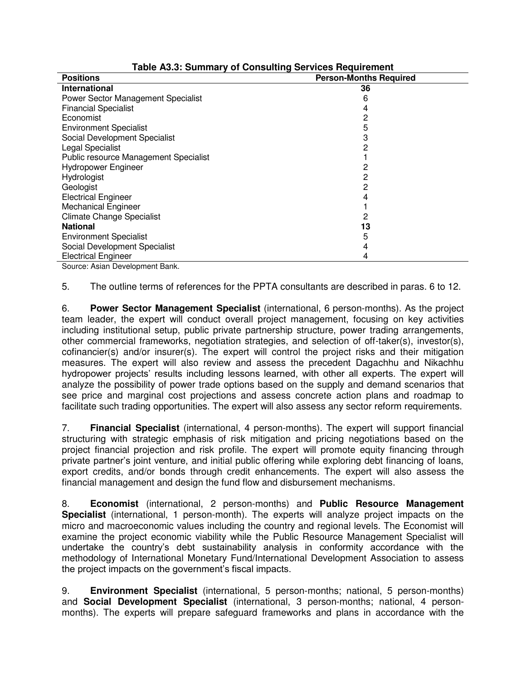| <b>Positions</b>                                    | <b>Person-Months Required</b> |
|-----------------------------------------------------|-------------------------------|
| International                                       | 36                            |
| Power Sector Management Specialist                  |                               |
| <b>Financial Specialist</b>                         |                               |
| Economist                                           |                               |
| <b>Environment Specialist</b>                       |                               |
| Social Development Specialist                       |                               |
| Legal Specialist                                    |                               |
| Public resource Management Specialist               |                               |
| Hydropower Engineer                                 |                               |
| Hydrologist                                         |                               |
| Geologist                                           | 2                             |
| <b>Electrical Engineer</b>                          |                               |
| <b>Mechanical Engineer</b>                          |                               |
| <b>Climate Change Specialist</b>                    |                               |
| <b>National</b>                                     | 13                            |
| <b>Environment Specialist</b>                       |                               |
| Social Development Specialist                       |                               |
| <b>Electrical Engineer</b>                          | 4                             |
| $O = 0.0000$ $A = 1.0000$ $D = 0.0000$ $A = 0.0000$ |                               |

| Table A3.3: Summary of Consulting Services Requirement |  |  |
|--------------------------------------------------------|--|--|
|                                                        |  |  |

Source: Asian Development Bank.

5. The outline terms of references for the PPTA consultants are described in paras. 6 to 12.

6. **Power Sector Management Specialist** (international, 6 person-months). As the project team leader, the expert will conduct overall project management, focusing on key activities including institutional setup, public private partnership structure, power trading arrangements, other commercial frameworks, negotiation strategies, and selection of off-taker(s), investor(s), cofinancier(s) and/or insurer(s). The expert will control the project risks and their mitigation measures. The expert will also review and assess the precedent Dagachhu and Nikachhu hydropower projects' results including lessons learned, with other all experts. The expert will analyze the possibility of power trade options based on the supply and demand scenarios that see price and marginal cost projections and assess concrete action plans and roadmap to facilitate such trading opportunities. The expert will also assess any sector reform requirements.

7. **Financial Specialist** (international, 4 person-months). The expert will support financial structuring with strategic emphasis of risk mitigation and pricing negotiations based on the project financial projection and risk profile. The expert will promote equity financing through private partner's joint venture, and initial public offering while exploring debt financing of loans, export credits, and/or bonds through credit enhancements. The expert will also assess the financial management and design the fund flow and disbursement mechanisms.

8. **Economist** (international, 2 person-months) and **Public Resource Management Specialist** (international, 1 person-month). The experts will analyze project impacts on the micro and macroeconomic values including the country and regional levels. The Economist will examine the project economic viability while the Public Resource Management Specialist will undertake the country's debt sustainability analysis in conformity accordance with the methodology of International Monetary Fund/International Development Association to assess the project impacts on the government's fiscal impacts.

9. **Environment Specialist** (international, 5 person-months; national, 5 person-months) and **Social Development Specialist** (international, 3 person-months; national, 4 personmonths). The experts will prepare safeguard frameworks and plans in accordance with the